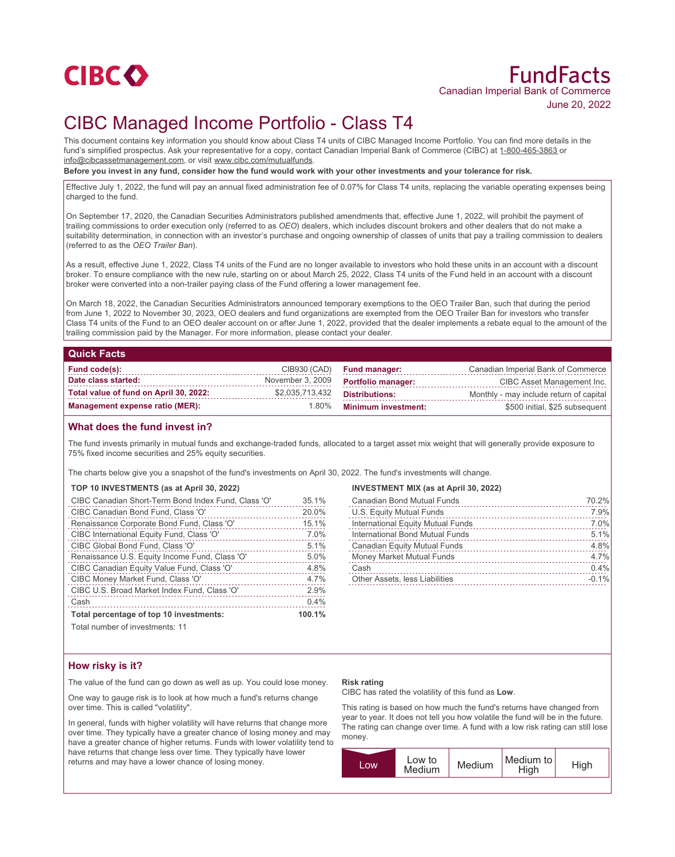

# FundFacts Canadian Imperial Bank of Commerce June 20, 2022

## CIBC Managed Income Portfolio - Class T4

This document contains key information you should know about Class T4 units of CIBC Managed Income Portfolio. You can find more details in the fund's simplified prospectus. Ask your representative for a copy, contact Canadian Imperial Bank of Commerce (CIBC) at 1-800-465-3863 or info@cibcassetmanagement.com, or visit www.cibc.com/mutualfunds.

**Before you invest in any fund, consider how the fund would work with your other investments and your tolerance for risk.**

Effective July 1, 2022, the fund will pay an annual fixed administration fee of 0.07% for Class T4 units, replacing the variable operating expenses being charged to the fund.

On September 17, 2020, the Canadian Securities Administrators published amendments that, effective June 1, 2022, will prohibit the payment of trailing commissions to order execution only (referred to as *OEO*) dealers, which includes discount brokers and other dealers that do not make a suitability determination, in connection with an investor's purchase and ongoing ownership of classes of units that pay a trailing commission to dealers (referred to as the *OEO Trailer Ban*).

As a result, effective June 1, 2022, Class T4 units of the Fund are no longer available to investors who hold these units in an account with a discount broker. To ensure compliance with the new rule, starting on or about March 25, 2022, Class T4 units of the Fund held in an account with a discount broker were converted into a non-trailer paying class of the Fund offering a lower management fee.

On March 18, 2022, the Canadian Securities Administrators announced temporary exemptions to the OEO Trailer Ban, such that during the period from June 1, 2022 to November 30, 2023, OEO dealers and fund organizations are exempted from the OEO Trailer Ban for investors who transfer Class T4 units of the Fund to an OEO dealer account on or after June 1, 2022, provided that the dealer implements a rebate equal to the amount of the trailing commission paid by the Manager. For more information, please contact your dealer.

#### **Quick Facts**

| Fund code(s):                          |                  | CIB930 (CAD) Fund manager: | Canadian Imperial Bank of Commerce      |
|----------------------------------------|------------------|----------------------------|-----------------------------------------|
| Date class started:                    | November 3, 2009 | <b>Portfolio manager:</b>  | CIBC Asset Management Inc.              |
| Total value of fund on April 30, 2022: | \$2,035,713,432  | Distributions:             | Monthly - may include return of capital |
| Management expense ratio (MER):        | 1.80%            | <b>Minimum investment:</b> | \$500 initial, \$25 subsequent          |

## **What does the fund invest in?**

The fund invests primarily in mutual funds and exchange-traded funds, allocated to a target asset mix weight that will generally provide exposure to 75% fixed income securities and 25% equity securities.

The charts below give you a snapshot of the fund's investments on April 30, 2022. The fund's investments will change.

#### **TOP 10 INVESTMENTS (as at April 30, 2022)**

| CIBC Canadian Short-Term Bond Index Fund, Class 'O' | 35.1%  |
|-----------------------------------------------------|--------|
| CIBC Canadian Bond Fund, Class 'O'                  | 20.0%  |
| Renaissance Corporate Bond Fund, Class 'O'          | 15.1%  |
| CIBC International Equity Fund, Class 'O'           | 7.0%   |
| CIBC Global Bond Fund, Class 'O'                    | 5.1%   |
| Renaissance U.S. Equity Income Fund, Class 'O'      | 5.0%   |
| CIBC Canadian Equity Value Fund, Class 'O'          | 4.8%   |
| CIBC Money Market Fund, Class 'O'                   | 4.7%   |
| CIBC U.S. Broad Market Index Fund, Class 'O'        | 2.9%   |
| Cash                                                | 0.4%   |
| Total percentage of top 10 investments:             | 100.1% |
| .                                                   |        |

**INVESTMENT MIX (as at April 30, 2022)**

| <b>Canadian Bond Mutual Funds</b>   | 70.2%   |
|-------------------------------------|---------|
| U.S. Equity Mutual Funds            | 7.9%    |
| International Equity Mutual Funds   | 7.0%    |
| International Bond Mutual Funds     | 5.1%    |
| <b>Canadian Equity Mutual Funds</b> | 4.8%    |
| Money Market Mutual Funds           | 4.7%    |
| Cash                                | 0.4%    |
| Other Assets, less Liabilities      | $-0.1%$ |
|                                     |         |

Total number of investments: 11

### **How risky is it?**

The value of the fund can go down as well as up. You could lose money.

One way to gauge risk is to look at how much a fund's returns change over time. This is called "volatility".

In general, funds with higher volatility will have returns that change more over time. They typically have a greater chance of losing money and may have a greater chance of higher returns. Funds with lower volatility tend to have returns that change less over time. They typically have lower returns and may have a lower chance of losing money.

#### **Risk rating**

CIBC has rated the volatility of this fund as **Low**.

This rating is based on how much the fund's returns have changed from year to year. It does not tell you how volatile the fund will be in the future. The rating can change over time. A fund with a low risk rating can still lose money.

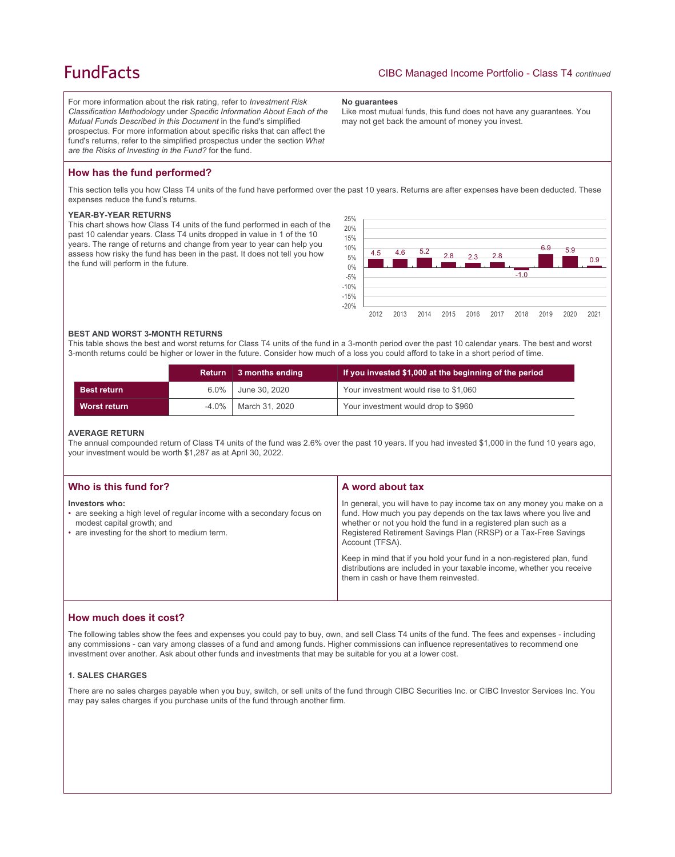## **FundFacts**

For more information about the risk rating, refer to *Investment Risk Classification Methodology* under *Specific Information About Each of the Mutual Funds Described in this Document* in the fund's simplified prospectus. For more information about specific risks that can affect the fund's returns, refer to the simplified prospectus under the section *What are the Risks of Investing in the Fund?* for the fund.

#### **No guarantees**

Like most mutual funds, this fund does not have any guarantees. You may not get back the amount of money you invest.

## **How has the fund performed?**

This section tells you how Class T4 units of the fund have performed over the past 10 years. Returns are after expenses have been deducted. These expenses reduce the fund's returns.

### **YEAR-BY-YEAR RETURNS**

This chart shows how Class T4 units of the fund performed in each of the past 10 calendar years. Class T4 units dropped in value in 1 of the 10 years. The range of returns and change from year to year can help you assess how risky the fund has been in the past. It does not tell you how the fund will perform in the future.



#### **BEST AND WORST 3-MONTH RETURNS**

This table shows the best and worst returns for Class T4 units of the fund in a 3-month period over the past 10 calendar years. The best and worst 3-month returns could be higher or lower in the future. Consider how much of a loss you could afford to take in a short period of time.

|                     | <b>Return</b> | 3 months ending | If you invested \$1,000 at the beginning of the period |
|---------------------|---------------|-----------------|--------------------------------------------------------|
| <b>Best return</b>  | $6.0\%$       | June 30, 2020   | Your investment would rise to \$1,060                  |
| <b>Worst return</b> | $-4.0\%$      | March 31, 2020  | Your investment would drop to \$960                    |

#### **AVERAGE RETURN**

The annual compounded return of Class T4 units of the fund was 2.6% over the past 10 years. If you had invested \$1,000 in the fund 10 years ago, your investment would be worth \$1,287 as at April 30, 2022.

| Who is this fund for?                                                                                                                                                   | A word about tax                                                                                                                                                                                                                                                                                     |
|-------------------------------------------------------------------------------------------------------------------------------------------------------------------------|------------------------------------------------------------------------------------------------------------------------------------------------------------------------------------------------------------------------------------------------------------------------------------------------------|
| Investors who:<br>• are seeking a high level of regular income with a secondary focus on<br>modest capital growth; and<br>• are investing for the short to medium term. | In general, you will have to pay income tax on any money you make on a<br>fund. How much you pay depends on the tax laws where you live and<br>whether or not you hold the fund in a registered plan such as a<br>Registered Retirement Savings Plan (RRSP) or a Tax-Free Savings<br>Account (TFSA). |
|                                                                                                                                                                         | Keep in mind that if you hold your fund in a non-registered plan, fund<br>distributions are included in your taxable income, whether you receive<br>them in cash or have them reinvested.                                                                                                            |

### **How much does it cost?**

The following tables show the fees and expenses you could pay to buy, own, and sell Class T4 units of the fund. The fees and expenses - including any commissions - can vary among classes of a fund and among funds. Higher commissions can influence representatives to recommend one investment over another. Ask about other funds and investments that may be suitable for you at a lower cost.

### **1. SALES CHARGES**

There are no sales charges payable when you buy, switch, or sell units of the fund through CIBC Securities Inc. or CIBC Investor Services Inc. You may pay sales charges if you purchase units of the fund through another firm.